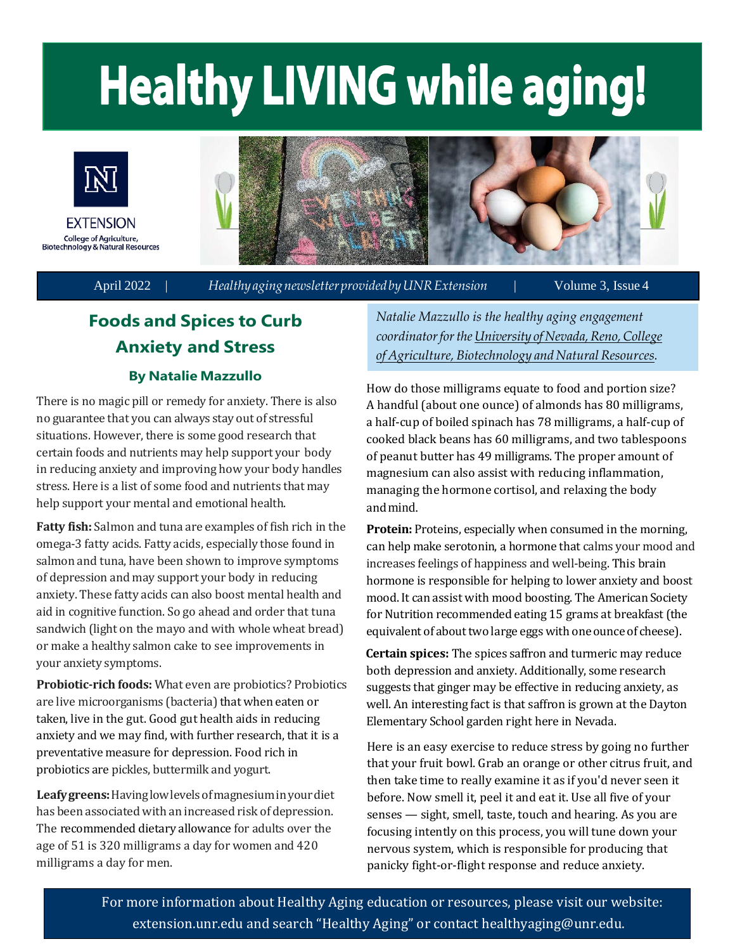# **Healthy LIVING while aging!**



April 2022 | *Healthyagingnewsletter provided byUNRExtension* | Volume 3, Issue 4

# **Foods and Spices to Curb Anxiety and Stress**

#### **By Natalie Mazzullo**

There is no magic pill or remedy for anxiety. There is also no guarantee that you can always stay out of stressful situations. However, there is some good research that certain foods and nutrients may help support your body in reducing anxiety and improving how your body handles stress. Here is a list of some food and nutrients that may help support your mental and emotional health.

**Fatty fish:** Salmon and tuna are examples of fish rich in the omega-3 fatty acids. Fatty acids, especially those found in salmon and tuna, have been shown to improve symptoms of depression and may support your body in reducing anxiety. These fatty acids can also boost mental health and aid in cognitive function. So go ahead and order that tuna sandwich (light on the mayo and with whole wheat bread) or make a healthy salmon cake to see improvements in your anxiety symptoms.

**Probiotic-rich foods:** What even are probiotics? Probiotics are live microorganisms (bacteria) that when eaten or taken, live in the gut. Good gut health aids in reducing anxiety and we may find, with further research, that it is a preventative measure for depression. Food rich in probiotics are pickles, buttermilk and yogurt.

**Leafygreens:** Havinglowlevelsofmagnesiuminyourdiet has been associated with an increased risk of depression. The recommended dietary allowance for adults over the age of 51 is 320 milligrams a day for women and 420 milligrams a day for men.

*Natalie Mazzullo is the healthy aging engagement coordinatorforthe University [ofNevada, Reno,Co](https://extension.unr.edu/default.aspx)llege*   $of$  *Agriculture, Biotechnology and Natural Resources.* 

How do those milligrams equate to food and portion size? A handful (about one ounce) of almonds has 80 milligrams, a half-cup of boiled spinach has 78 milligrams, a half-cup of cooked black beans has 60 milligrams, and two tablespoons of peanut butter has 49 milligrams. The proper amount of magnesium can also assist with reducing inflammation, managing the hormone cortisol, and relaxing the body and mind.

**Protein:** Proteins, especially when consumed in the morning, can help make serotonin, a hormone that calms your mood and increases feelings of happiness and well-being. This brain hormone is responsible for helping to lower anxiety and boost mood.It can assist with mood boosting. The American Society for Nutrition recommended eating 15 grams at breakfast (the equivalent of about two large eggs with one ounce of cheese).

 **Certain spices:** The spices saffron and turmeric may reduce both depression and anxiety. Additionally, some research suggests that ginger may be effective in reducing anxiety, as well. An interesting fact is that saffron is grown at the Dayton Elementary School garden right here in Nevada.

Here is an easy exercise to reduce stress by going no further that your fruit bowl. Grab an orange or other citrus fruit, and then take time to really examine it as if you'd never seen it before. Now smell it, peel it and eat it. Use all five of your senses — sight, smell, taste, touch and hearing. As you are focusing intently on this process, you will tune down your nervous system, which is responsible for producing that panicky fight-or-flight response and reduce anxiety.

For more information about Healthy Aging education or resources, please visit our website: extension.unr.edu and search "Healthy Aging" or contact [healthyaging@unr.edu.](mailto:healthyaging@unr.edu)